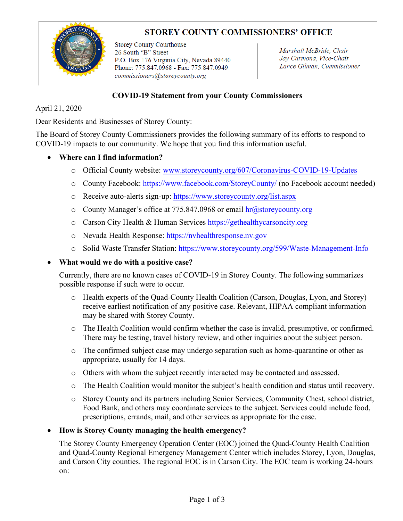# **STOREY COUNTY COMMISSIONERS' OFFICE**



**Storey County Courthouse** 26 South "B" Street P.O. Box 176 Virginia City, Nevada 89440 Phone: 775.847.0968 - Fax: 775.847.0949 commissioners@storeycounty.org

Marshall McBride, Chair Jay Carmona, Vice-Chair Lance Gilman, Commissioner

### **COVID-19 Statement from your County Commissioners**

April 21, 2020

Dear Residents and Businesses of Storey County:

The Board of Storey County Commissioners provides the following summary of its efforts to respond to COVID-19 impacts to our community. We hope that you find this information useful.

### • **Where can I find information?**

- o Official County website: [www.storeycounty.org/607/Coronavirus-COVID-19-Updates](http://www.storeycounty.org/607/Coronavirus-COVID-19-Updates)
- o County Facebook:<https://www.facebook.com/StoreyCounty/> (no Facebook account needed)
- o Receive auto-alerts sign-up:<https://www.storeycounty.org/list.aspx>
- o County Manager's office at 775.847.0968 or email  $hr@storeycounty.org$
- o Carson City Health & Human Services [https://gethealthycarsoncity.org](https://gethealthycarsoncity.org/)
- o Nevada Health Response: [https://nvhealthresponse.nv.gov](https://nvhealthresponse.nv.gov/)
- o Solid Waste Transfer Station:<https://www.storeycounty.org/599/Waste-Management-Info>

#### • **What would we do with a positive case?**

Currently, there are no known cases of COVID-19 in Storey County. The following summarizes possible response if such were to occur.

- o Health experts of the Quad-County Health Coalition (Carson, Douglas, Lyon, and Storey) receive earliest notification of any positive case. Relevant, HIPAA compliant information may be shared with Storey County.
- o The Health Coalition would confirm whether the case is invalid, presumptive, or confirmed. There may be testing, travel history review, and other inquiries about the subject person.
- o The confirmed subject case may undergo separation such as home-quarantine or other as appropriate, usually for 14 days.
- o Others with whom the subject recently interacted may be contacted and assessed.
- o The Health Coalition would monitor the subject's health condition and status until recovery.
- o Storey County and its partners including Senior Services, Community Chest, school district, Food Bank, and others may coordinate services to the subject. Services could include food, prescriptions, errands, mail, and other services as appropriate for the case.

#### • **How is Storey County managing the health emergency?**

The Storey County Emergency Operation Center (EOC) joined the Quad-County Health Coalition and Quad-County Regional Emergency Management Center which includes Storey, Lyon, Douglas, and Carson City counties. The regional EOC is in Carson City. The EOC team is working 24-hours on: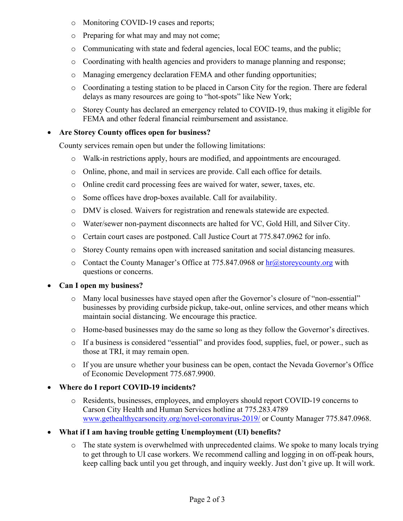- o Monitoring COVID-19 cases and reports;
- o Preparing for what may and may not come;
- o Communicating with state and federal agencies, local EOC teams, and the public;
- o Coordinating with health agencies and providers to manage planning and response;
- o Managing emergency declaration FEMA and other funding opportunities;
- o Coordinating a testing station to be placed in Carson City for the region. There are federal delays as many resources are going to "hot-spots" like New York;
- o Storey County has declared an emergency related to COVID-19, thus making it eligible for FEMA and other federal financial reimbursement and assistance.

### • **Are Storey County offices open for business?**

County services remain open but under the following limitations:

- o Walk-in restrictions apply, hours are modified, and appointments are encouraged.
- o Online, phone, and mail in services are provide. Call each office for details.
- o Online credit card processing fees are waived for water, sewer, taxes, etc.
- o Some offices have drop-boxes available. Call for availability.
- o DMV is closed. Waivers for registration and renewals statewide are expected.
- o Water/sewer non-payment disconnects are halted for VC, Gold Hill, and Silver City.
- o Certain court cases are postponed. Call Justice Court at 775.847.0962 for info.
- o Storey County remains open with increased sanitation and social distancing measures.
- o Contact the County Manager's Office at 775.847.0968 or  $\frac{hr@ \text{storey} county.org}{hr^{5}}$  with questions or concerns.

## • **Can I open my business?**

- o Many local businesses have stayed open after the Governor's closure of "non-essential" businesses by providing curbside pickup, take-out, online services, and other means which maintain social distancing. We encourage this practice.
- o Home-based businesses may do the same so long as they follow the Governor's directives.
- o If a business is considered "essential" and provides food, supplies, fuel, or power., such as those at TRI, it may remain open.
- o If you are unsure whether your business can be open, contact the Nevada Governor's Office of Economic Development 775.687.9900.

## • **Where do I report COVID-19 incidents?**

- o Residents, businesses, employees, and employers should report COVID-19 concerns to Carson City Health and Human Services hotline at 775.283.4789 [www.gethealthycarsoncity.org/novel-coronavirus-2019/](http://www.gethealthycarsoncity.org/novel-coronavirus-2019/) or County Manager 775.847.0968.
- **What if I am having trouble getting Unemployment (UI) benefits?**
	- o The state system is overwhelmed with unprecedented claims. We spoke to many locals trying to get through to UI case workers. We recommend calling and logging in on off-peak hours, keep calling back until you get through, and inquiry weekly. Just don't give up. It will work.